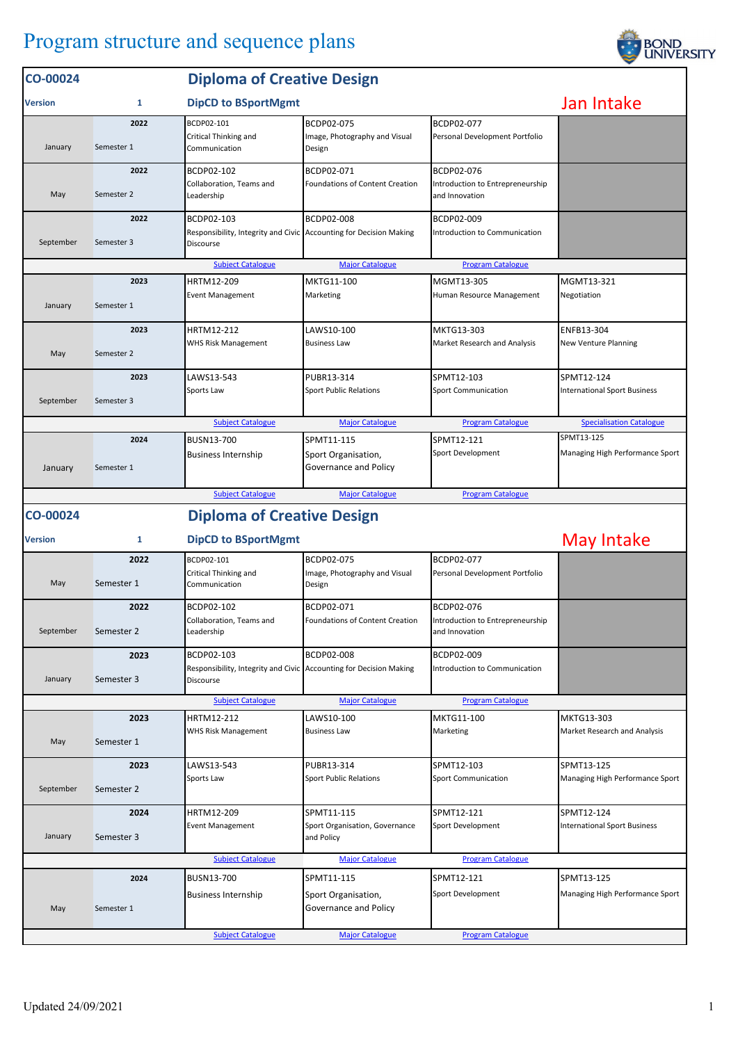## Program structure and sequence plans

| Jan Intake<br><b>DipCD to BSportMgmt</b><br>1<br><b>Version</b><br>2022<br>BCDP02-101<br>BCDP02-075<br>BCDP02-077<br>Critical Thinking and<br>Image, Photography and Visual<br>Personal Development Portfolio<br>January<br>Semester 1<br>Communication<br>Design<br>2022<br>BCDP02-102<br>BCDP02-071<br>BCDP02-076<br><b>Foundations of Content Creation</b><br>Introduction to Entrepreneurship<br>Collaboration, Teams and<br>May<br>Semester 2<br>Leadership<br>and Innovation<br>2022<br>BCDP02-103<br>BCDP02-008<br>BCDP02-009<br>Responsibility, Integrity and Civic Accounting for Decision Making<br>Introduction to Communication<br>September<br>Semester 3<br>Discourse<br><b>Subject Catalogue</b><br><b>Major Catalogue</b><br><b>Program Catalogue</b><br>HRTM12-209<br>MKTG11-100<br>MGMT13-305<br>2023<br>MGMT13-321<br><b>Event Management</b><br>Marketing<br>Human Resource Management<br>Negotiation<br>January<br>Semester 1<br>MKTG13-303<br>2023<br>HRTM12-212<br>LAWS10-100<br>ENFB13-304<br>WHS Risk Management<br><b>Business Law</b><br>Market Research and Analysis<br>New Venture Planning<br>Semester 2<br>May<br>2023<br>SPMT12-103<br>LAWS13-543<br>PUBR13-314<br>SPMT12-124<br>Sports Law<br>Sport Public Relations<br><b>Sport Communication</b><br><b>International Sport Business</b><br>September<br>Semester 3<br><b>Subject Catalogue</b><br><b>Major Catalogue</b><br><b>Program Catalogue</b><br><b>Specialisation Catalogue</b><br>SPMT13-125<br>2024<br>BUSN13-700<br>SPMT11-115<br>SPMT12-121<br>Sport Development<br>Managing High Performance Sport<br><b>Business Internship</b><br>Sport Organisation,<br>Governance and Policy<br>Semester 1<br>January<br><b>Subject Catalogue</b><br><b>Major Catalogue</b><br><b>Program Catalogue</b><br><b>Diploma of Creative Design</b><br>CO-00024<br>May Intake<br><b>DipCD to BSportMgmt</b><br>1<br><b>Version</b><br>BCDP02-101<br>BCDP02-075<br>BCDP02-077<br>2022<br>Critical Thinking and<br>Image, Photography and Visual<br>Personal Development Portfolio<br>May<br>Semester 1<br>Communication<br>Design<br>2022<br>BCDP02-102<br>BCDP02-071<br>BCDP02-076<br>Collaboration, Teams and<br>Foundations of Content Creation<br>Introduction to Entrepreneurship<br>September<br>Semester 2<br>and Innovation<br>Leadership<br>BCDP02-103<br>BCDP02-008<br>BCDP02-009<br>2023<br>Responsibility, Integrity and Civic Accounting for Decision Making<br>Introduction to Communication<br>Semester 3<br>January<br>Discourse<br><b>Subject Catalogue</b><br><b>Major Catalogue</b><br><b>Program Catalogue</b><br>HRTM12-212<br>LAWS10-100<br>MKTG11-100<br>MKTG13-303<br>2023<br>WHS Risk Management<br>Marketing<br>Market Research and Analysis<br><b>Business Law</b><br>Semester 1<br>May<br>2023<br>LAWS13-543<br>PUBR13-314<br>SPMT12-103<br>SPMT13-125<br>Sports Law<br><b>Sport Public Relations</b><br><b>Sport Communication</b><br>Managing High Performance Sport<br>Semester 2<br>September<br>2024<br>HRTM12-209<br>SPMT11-115<br>SPMT12-121<br>SPMT12-124<br>Sport Organisation, Governance<br>Sport Development<br><b>Event Management</b><br><b>International Sport Business</b><br>January<br>Semester 3<br>and Policy<br><b>Subject Catalogue</b><br><b>Major Catalogue</b><br><b>Program Catalogue</b><br>2024<br>BUSN13-700<br>SPMT12-121<br>SPMT13-125<br>SPMT11-115<br>Sport Development<br>Managing High Performance Sport<br><b>Business Internship</b><br>Sport Organisation,<br>Governance and Policy<br>May<br>Semester 1<br><b>Subject Catalogue</b><br><b>Major Catalogue</b><br><b>Program Catalogue</b> | CO-00024 | <b>Diploma of Creative Design</b> |  |  |  |  |  |
|------------------------------------------------------------------------------------------------------------------------------------------------------------------------------------------------------------------------------------------------------------------------------------------------------------------------------------------------------------------------------------------------------------------------------------------------------------------------------------------------------------------------------------------------------------------------------------------------------------------------------------------------------------------------------------------------------------------------------------------------------------------------------------------------------------------------------------------------------------------------------------------------------------------------------------------------------------------------------------------------------------------------------------------------------------------------------------------------------------------------------------------------------------------------------------------------------------------------------------------------------------------------------------------------------------------------------------------------------------------------------------------------------------------------------------------------------------------------------------------------------------------------------------------------------------------------------------------------------------------------------------------------------------------------------------------------------------------------------------------------------------------------------------------------------------------------------------------------------------------------------------------------------------------------------------------------------------------------------------------------------------------------------------------------------------------------------------------------------------------------------------------------------------------------------------------------------------------------------------------------------------------------------------------------------------------------------------------------------------------------------------------------------------------------------------------------------------------------------------------------------------------------------------------------------------------------------------------------------------------------------------------------------------------------------------------------------------------------------------------------------------------------------------------------------------------------------------------------------------------------------------------------------------------------------------------------------------------------------------------------------------------------------------------------------------------------------------------------------------------------------------------------------------------------------------------------------------------------------------------------------------------------------------------------------------------------------------------------------------------------------------------------------------------------------------------------------------------------------------------------------------------------------------------------------------------------------------------------------------------------------------------|----------|-----------------------------------|--|--|--|--|--|
|                                                                                                                                                                                                                                                                                                                                                                                                                                                                                                                                                                                                                                                                                                                                                                                                                                                                                                                                                                                                                                                                                                                                                                                                                                                                                                                                                                                                                                                                                                                                                                                                                                                                                                                                                                                                                                                                                                                                                                                                                                                                                                                                                                                                                                                                                                                                                                                                                                                                                                                                                                                                                                                                                                                                                                                                                                                                                                                                                                                                                                                                                                                                                                                                                                                                                                                                                                                                                                                                                                                                                                                                                                          |          |                                   |  |  |  |  |  |
|                                                                                                                                                                                                                                                                                                                                                                                                                                                                                                                                                                                                                                                                                                                                                                                                                                                                                                                                                                                                                                                                                                                                                                                                                                                                                                                                                                                                                                                                                                                                                                                                                                                                                                                                                                                                                                                                                                                                                                                                                                                                                                                                                                                                                                                                                                                                                                                                                                                                                                                                                                                                                                                                                                                                                                                                                                                                                                                                                                                                                                                                                                                                                                                                                                                                                                                                                                                                                                                                                                                                                                                                                                          |          |                                   |  |  |  |  |  |
|                                                                                                                                                                                                                                                                                                                                                                                                                                                                                                                                                                                                                                                                                                                                                                                                                                                                                                                                                                                                                                                                                                                                                                                                                                                                                                                                                                                                                                                                                                                                                                                                                                                                                                                                                                                                                                                                                                                                                                                                                                                                                                                                                                                                                                                                                                                                                                                                                                                                                                                                                                                                                                                                                                                                                                                                                                                                                                                                                                                                                                                                                                                                                                                                                                                                                                                                                                                                                                                                                                                                                                                                                                          |          |                                   |  |  |  |  |  |
|                                                                                                                                                                                                                                                                                                                                                                                                                                                                                                                                                                                                                                                                                                                                                                                                                                                                                                                                                                                                                                                                                                                                                                                                                                                                                                                                                                                                                                                                                                                                                                                                                                                                                                                                                                                                                                                                                                                                                                                                                                                                                                                                                                                                                                                                                                                                                                                                                                                                                                                                                                                                                                                                                                                                                                                                                                                                                                                                                                                                                                                                                                                                                                                                                                                                                                                                                                                                                                                                                                                                                                                                                                          |          |                                   |  |  |  |  |  |
|                                                                                                                                                                                                                                                                                                                                                                                                                                                                                                                                                                                                                                                                                                                                                                                                                                                                                                                                                                                                                                                                                                                                                                                                                                                                                                                                                                                                                                                                                                                                                                                                                                                                                                                                                                                                                                                                                                                                                                                                                                                                                                                                                                                                                                                                                                                                                                                                                                                                                                                                                                                                                                                                                                                                                                                                                                                                                                                                                                                                                                                                                                                                                                                                                                                                                                                                                                                                                                                                                                                                                                                                                                          |          |                                   |  |  |  |  |  |
|                                                                                                                                                                                                                                                                                                                                                                                                                                                                                                                                                                                                                                                                                                                                                                                                                                                                                                                                                                                                                                                                                                                                                                                                                                                                                                                                                                                                                                                                                                                                                                                                                                                                                                                                                                                                                                                                                                                                                                                                                                                                                                                                                                                                                                                                                                                                                                                                                                                                                                                                                                                                                                                                                                                                                                                                                                                                                                                                                                                                                                                                                                                                                                                                                                                                                                                                                                                                                                                                                                                                                                                                                                          |          |                                   |  |  |  |  |  |
|                                                                                                                                                                                                                                                                                                                                                                                                                                                                                                                                                                                                                                                                                                                                                                                                                                                                                                                                                                                                                                                                                                                                                                                                                                                                                                                                                                                                                                                                                                                                                                                                                                                                                                                                                                                                                                                                                                                                                                                                                                                                                                                                                                                                                                                                                                                                                                                                                                                                                                                                                                                                                                                                                                                                                                                                                                                                                                                                                                                                                                                                                                                                                                                                                                                                                                                                                                                                                                                                                                                                                                                                                                          |          |                                   |  |  |  |  |  |
|                                                                                                                                                                                                                                                                                                                                                                                                                                                                                                                                                                                                                                                                                                                                                                                                                                                                                                                                                                                                                                                                                                                                                                                                                                                                                                                                                                                                                                                                                                                                                                                                                                                                                                                                                                                                                                                                                                                                                                                                                                                                                                                                                                                                                                                                                                                                                                                                                                                                                                                                                                                                                                                                                                                                                                                                                                                                                                                                                                                                                                                                                                                                                                                                                                                                                                                                                                                                                                                                                                                                                                                                                                          |          |                                   |  |  |  |  |  |
|                                                                                                                                                                                                                                                                                                                                                                                                                                                                                                                                                                                                                                                                                                                                                                                                                                                                                                                                                                                                                                                                                                                                                                                                                                                                                                                                                                                                                                                                                                                                                                                                                                                                                                                                                                                                                                                                                                                                                                                                                                                                                                                                                                                                                                                                                                                                                                                                                                                                                                                                                                                                                                                                                                                                                                                                                                                                                                                                                                                                                                                                                                                                                                                                                                                                                                                                                                                                                                                                                                                                                                                                                                          |          |                                   |  |  |  |  |  |
|                                                                                                                                                                                                                                                                                                                                                                                                                                                                                                                                                                                                                                                                                                                                                                                                                                                                                                                                                                                                                                                                                                                                                                                                                                                                                                                                                                                                                                                                                                                                                                                                                                                                                                                                                                                                                                                                                                                                                                                                                                                                                                                                                                                                                                                                                                                                                                                                                                                                                                                                                                                                                                                                                                                                                                                                                                                                                                                                                                                                                                                                                                                                                                                                                                                                                                                                                                                                                                                                                                                                                                                                                                          |          |                                   |  |  |  |  |  |
|                                                                                                                                                                                                                                                                                                                                                                                                                                                                                                                                                                                                                                                                                                                                                                                                                                                                                                                                                                                                                                                                                                                                                                                                                                                                                                                                                                                                                                                                                                                                                                                                                                                                                                                                                                                                                                                                                                                                                                                                                                                                                                                                                                                                                                                                                                                                                                                                                                                                                                                                                                                                                                                                                                                                                                                                                                                                                                                                                                                                                                                                                                                                                                                                                                                                                                                                                                                                                                                                                                                                                                                                                                          |          |                                   |  |  |  |  |  |
|                                                                                                                                                                                                                                                                                                                                                                                                                                                                                                                                                                                                                                                                                                                                                                                                                                                                                                                                                                                                                                                                                                                                                                                                                                                                                                                                                                                                                                                                                                                                                                                                                                                                                                                                                                                                                                                                                                                                                                                                                                                                                                                                                                                                                                                                                                                                                                                                                                                                                                                                                                                                                                                                                                                                                                                                                                                                                                                                                                                                                                                                                                                                                                                                                                                                                                                                                                                                                                                                                                                                                                                                                                          |          |                                   |  |  |  |  |  |
|                                                                                                                                                                                                                                                                                                                                                                                                                                                                                                                                                                                                                                                                                                                                                                                                                                                                                                                                                                                                                                                                                                                                                                                                                                                                                                                                                                                                                                                                                                                                                                                                                                                                                                                                                                                                                                                                                                                                                                                                                                                                                                                                                                                                                                                                                                                                                                                                                                                                                                                                                                                                                                                                                                                                                                                                                                                                                                                                                                                                                                                                                                                                                                                                                                                                                                                                                                                                                                                                                                                                                                                                                                          |          |                                   |  |  |  |  |  |
|                                                                                                                                                                                                                                                                                                                                                                                                                                                                                                                                                                                                                                                                                                                                                                                                                                                                                                                                                                                                                                                                                                                                                                                                                                                                                                                                                                                                                                                                                                                                                                                                                                                                                                                                                                                                                                                                                                                                                                                                                                                                                                                                                                                                                                                                                                                                                                                                                                                                                                                                                                                                                                                                                                                                                                                                                                                                                                                                                                                                                                                                                                                                                                                                                                                                                                                                                                                                                                                                                                                                                                                                                                          |          |                                   |  |  |  |  |  |
|                                                                                                                                                                                                                                                                                                                                                                                                                                                                                                                                                                                                                                                                                                                                                                                                                                                                                                                                                                                                                                                                                                                                                                                                                                                                                                                                                                                                                                                                                                                                                                                                                                                                                                                                                                                                                                                                                                                                                                                                                                                                                                                                                                                                                                                                                                                                                                                                                                                                                                                                                                                                                                                                                                                                                                                                                                                                                                                                                                                                                                                                                                                                                                                                                                                                                                                                                                                                                                                                                                                                                                                                                                          |          |                                   |  |  |  |  |  |
|                                                                                                                                                                                                                                                                                                                                                                                                                                                                                                                                                                                                                                                                                                                                                                                                                                                                                                                                                                                                                                                                                                                                                                                                                                                                                                                                                                                                                                                                                                                                                                                                                                                                                                                                                                                                                                                                                                                                                                                                                                                                                                                                                                                                                                                                                                                                                                                                                                                                                                                                                                                                                                                                                                                                                                                                                                                                                                                                                                                                                                                                                                                                                                                                                                                                                                                                                                                                                                                                                                                                                                                                                                          |          |                                   |  |  |  |  |  |
|                                                                                                                                                                                                                                                                                                                                                                                                                                                                                                                                                                                                                                                                                                                                                                                                                                                                                                                                                                                                                                                                                                                                                                                                                                                                                                                                                                                                                                                                                                                                                                                                                                                                                                                                                                                                                                                                                                                                                                                                                                                                                                                                                                                                                                                                                                                                                                                                                                                                                                                                                                                                                                                                                                                                                                                                                                                                                                                                                                                                                                                                                                                                                                                                                                                                                                                                                                                                                                                                                                                                                                                                                                          |          |                                   |  |  |  |  |  |
|                                                                                                                                                                                                                                                                                                                                                                                                                                                                                                                                                                                                                                                                                                                                                                                                                                                                                                                                                                                                                                                                                                                                                                                                                                                                                                                                                                                                                                                                                                                                                                                                                                                                                                                                                                                                                                                                                                                                                                                                                                                                                                                                                                                                                                                                                                                                                                                                                                                                                                                                                                                                                                                                                                                                                                                                                                                                                                                                                                                                                                                                                                                                                                                                                                                                                                                                                                                                                                                                                                                                                                                                                                          |          |                                   |  |  |  |  |  |
|                                                                                                                                                                                                                                                                                                                                                                                                                                                                                                                                                                                                                                                                                                                                                                                                                                                                                                                                                                                                                                                                                                                                                                                                                                                                                                                                                                                                                                                                                                                                                                                                                                                                                                                                                                                                                                                                                                                                                                                                                                                                                                                                                                                                                                                                                                                                                                                                                                                                                                                                                                                                                                                                                                                                                                                                                                                                                                                                                                                                                                                                                                                                                                                                                                                                                                                                                                                                                                                                                                                                                                                                                                          |          |                                   |  |  |  |  |  |
|                                                                                                                                                                                                                                                                                                                                                                                                                                                                                                                                                                                                                                                                                                                                                                                                                                                                                                                                                                                                                                                                                                                                                                                                                                                                                                                                                                                                                                                                                                                                                                                                                                                                                                                                                                                                                                                                                                                                                                                                                                                                                                                                                                                                                                                                                                                                                                                                                                                                                                                                                                                                                                                                                                                                                                                                                                                                                                                                                                                                                                                                                                                                                                                                                                                                                                                                                                                                                                                                                                                                                                                                                                          |          |                                   |  |  |  |  |  |
|                                                                                                                                                                                                                                                                                                                                                                                                                                                                                                                                                                                                                                                                                                                                                                                                                                                                                                                                                                                                                                                                                                                                                                                                                                                                                                                                                                                                                                                                                                                                                                                                                                                                                                                                                                                                                                                                                                                                                                                                                                                                                                                                                                                                                                                                                                                                                                                                                                                                                                                                                                                                                                                                                                                                                                                                                                                                                                                                                                                                                                                                                                                                                                                                                                                                                                                                                                                                                                                                                                                                                                                                                                          |          |                                   |  |  |  |  |  |
|                                                                                                                                                                                                                                                                                                                                                                                                                                                                                                                                                                                                                                                                                                                                                                                                                                                                                                                                                                                                                                                                                                                                                                                                                                                                                                                                                                                                                                                                                                                                                                                                                                                                                                                                                                                                                                                                                                                                                                                                                                                                                                                                                                                                                                                                                                                                                                                                                                                                                                                                                                                                                                                                                                                                                                                                                                                                                                                                                                                                                                                                                                                                                                                                                                                                                                                                                                                                                                                                                                                                                                                                                                          |          |                                   |  |  |  |  |  |
|                                                                                                                                                                                                                                                                                                                                                                                                                                                                                                                                                                                                                                                                                                                                                                                                                                                                                                                                                                                                                                                                                                                                                                                                                                                                                                                                                                                                                                                                                                                                                                                                                                                                                                                                                                                                                                                                                                                                                                                                                                                                                                                                                                                                                                                                                                                                                                                                                                                                                                                                                                                                                                                                                                                                                                                                                                                                                                                                                                                                                                                                                                                                                                                                                                                                                                                                                                                                                                                                                                                                                                                                                                          |          |                                   |  |  |  |  |  |
|                                                                                                                                                                                                                                                                                                                                                                                                                                                                                                                                                                                                                                                                                                                                                                                                                                                                                                                                                                                                                                                                                                                                                                                                                                                                                                                                                                                                                                                                                                                                                                                                                                                                                                                                                                                                                                                                                                                                                                                                                                                                                                                                                                                                                                                                                                                                                                                                                                                                                                                                                                                                                                                                                                                                                                                                                                                                                                                                                                                                                                                                                                                                                                                                                                                                                                                                                                                                                                                                                                                                                                                                                                          |          |                                   |  |  |  |  |  |
|                                                                                                                                                                                                                                                                                                                                                                                                                                                                                                                                                                                                                                                                                                                                                                                                                                                                                                                                                                                                                                                                                                                                                                                                                                                                                                                                                                                                                                                                                                                                                                                                                                                                                                                                                                                                                                                                                                                                                                                                                                                                                                                                                                                                                                                                                                                                                                                                                                                                                                                                                                                                                                                                                                                                                                                                                                                                                                                                                                                                                                                                                                                                                                                                                                                                                                                                                                                                                                                                                                                                                                                                                                          |          |                                   |  |  |  |  |  |
|                                                                                                                                                                                                                                                                                                                                                                                                                                                                                                                                                                                                                                                                                                                                                                                                                                                                                                                                                                                                                                                                                                                                                                                                                                                                                                                                                                                                                                                                                                                                                                                                                                                                                                                                                                                                                                                                                                                                                                                                                                                                                                                                                                                                                                                                                                                                                                                                                                                                                                                                                                                                                                                                                                                                                                                                                                                                                                                                                                                                                                                                                                                                                                                                                                                                                                                                                                                                                                                                                                                                                                                                                                          |          |                                   |  |  |  |  |  |
|                                                                                                                                                                                                                                                                                                                                                                                                                                                                                                                                                                                                                                                                                                                                                                                                                                                                                                                                                                                                                                                                                                                                                                                                                                                                                                                                                                                                                                                                                                                                                                                                                                                                                                                                                                                                                                                                                                                                                                                                                                                                                                                                                                                                                                                                                                                                                                                                                                                                                                                                                                                                                                                                                                                                                                                                                                                                                                                                                                                                                                                                                                                                                                                                                                                                                                                                                                                                                                                                                                                                                                                                                                          |          |                                   |  |  |  |  |  |
|                                                                                                                                                                                                                                                                                                                                                                                                                                                                                                                                                                                                                                                                                                                                                                                                                                                                                                                                                                                                                                                                                                                                                                                                                                                                                                                                                                                                                                                                                                                                                                                                                                                                                                                                                                                                                                                                                                                                                                                                                                                                                                                                                                                                                                                                                                                                                                                                                                                                                                                                                                                                                                                                                                                                                                                                                                                                                                                                                                                                                                                                                                                                                                                                                                                                                                                                                                                                                                                                                                                                                                                                                                          |          |                                   |  |  |  |  |  |
|                                                                                                                                                                                                                                                                                                                                                                                                                                                                                                                                                                                                                                                                                                                                                                                                                                                                                                                                                                                                                                                                                                                                                                                                                                                                                                                                                                                                                                                                                                                                                                                                                                                                                                                                                                                                                                                                                                                                                                                                                                                                                                                                                                                                                                                                                                                                                                                                                                                                                                                                                                                                                                                                                                                                                                                                                                                                                                                                                                                                                                                                                                                                                                                                                                                                                                                                                                                                                                                                                                                                                                                                                                          |          |                                   |  |  |  |  |  |
|                                                                                                                                                                                                                                                                                                                                                                                                                                                                                                                                                                                                                                                                                                                                                                                                                                                                                                                                                                                                                                                                                                                                                                                                                                                                                                                                                                                                                                                                                                                                                                                                                                                                                                                                                                                                                                                                                                                                                                                                                                                                                                                                                                                                                                                                                                                                                                                                                                                                                                                                                                                                                                                                                                                                                                                                                                                                                                                                                                                                                                                                                                                                                                                                                                                                                                                                                                                                                                                                                                                                                                                                                                          |          |                                   |  |  |  |  |  |
|                                                                                                                                                                                                                                                                                                                                                                                                                                                                                                                                                                                                                                                                                                                                                                                                                                                                                                                                                                                                                                                                                                                                                                                                                                                                                                                                                                                                                                                                                                                                                                                                                                                                                                                                                                                                                                                                                                                                                                                                                                                                                                                                                                                                                                                                                                                                                                                                                                                                                                                                                                                                                                                                                                                                                                                                                                                                                                                                                                                                                                                                                                                                                                                                                                                                                                                                                                                                                                                                                                                                                                                                                                          |          |                                   |  |  |  |  |  |
|                                                                                                                                                                                                                                                                                                                                                                                                                                                                                                                                                                                                                                                                                                                                                                                                                                                                                                                                                                                                                                                                                                                                                                                                                                                                                                                                                                                                                                                                                                                                                                                                                                                                                                                                                                                                                                                                                                                                                                                                                                                                                                                                                                                                                                                                                                                                                                                                                                                                                                                                                                                                                                                                                                                                                                                                                                                                                                                                                                                                                                                                                                                                                                                                                                                                                                                                                                                                                                                                                                                                                                                                                                          |          |                                   |  |  |  |  |  |
|                                                                                                                                                                                                                                                                                                                                                                                                                                                                                                                                                                                                                                                                                                                                                                                                                                                                                                                                                                                                                                                                                                                                                                                                                                                                                                                                                                                                                                                                                                                                                                                                                                                                                                                                                                                                                                                                                                                                                                                                                                                                                                                                                                                                                                                                                                                                                                                                                                                                                                                                                                                                                                                                                                                                                                                                                                                                                                                                                                                                                                                                                                                                                                                                                                                                                                                                                                                                                                                                                                                                                                                                                                          |          |                                   |  |  |  |  |  |
|                                                                                                                                                                                                                                                                                                                                                                                                                                                                                                                                                                                                                                                                                                                                                                                                                                                                                                                                                                                                                                                                                                                                                                                                                                                                                                                                                                                                                                                                                                                                                                                                                                                                                                                                                                                                                                                                                                                                                                                                                                                                                                                                                                                                                                                                                                                                                                                                                                                                                                                                                                                                                                                                                                                                                                                                                                                                                                                                                                                                                                                                                                                                                                                                                                                                                                                                                                                                                                                                                                                                                                                                                                          |          |                                   |  |  |  |  |  |
|                                                                                                                                                                                                                                                                                                                                                                                                                                                                                                                                                                                                                                                                                                                                                                                                                                                                                                                                                                                                                                                                                                                                                                                                                                                                                                                                                                                                                                                                                                                                                                                                                                                                                                                                                                                                                                                                                                                                                                                                                                                                                                                                                                                                                                                                                                                                                                                                                                                                                                                                                                                                                                                                                                                                                                                                                                                                                                                                                                                                                                                                                                                                                                                                                                                                                                                                                                                                                                                                                                                                                                                                                                          |          |                                   |  |  |  |  |  |
|                                                                                                                                                                                                                                                                                                                                                                                                                                                                                                                                                                                                                                                                                                                                                                                                                                                                                                                                                                                                                                                                                                                                                                                                                                                                                                                                                                                                                                                                                                                                                                                                                                                                                                                                                                                                                                                                                                                                                                                                                                                                                                                                                                                                                                                                                                                                                                                                                                                                                                                                                                                                                                                                                                                                                                                                                                                                                                                                                                                                                                                                                                                                                                                                                                                                                                                                                                                                                                                                                                                                                                                                                                          |          |                                   |  |  |  |  |  |
|                                                                                                                                                                                                                                                                                                                                                                                                                                                                                                                                                                                                                                                                                                                                                                                                                                                                                                                                                                                                                                                                                                                                                                                                                                                                                                                                                                                                                                                                                                                                                                                                                                                                                                                                                                                                                                                                                                                                                                                                                                                                                                                                                                                                                                                                                                                                                                                                                                                                                                                                                                                                                                                                                                                                                                                                                                                                                                                                                                                                                                                                                                                                                                                                                                                                                                                                                                                                                                                                                                                                                                                                                                          |          |                                   |  |  |  |  |  |

**BOND**<br>UNIVERSITY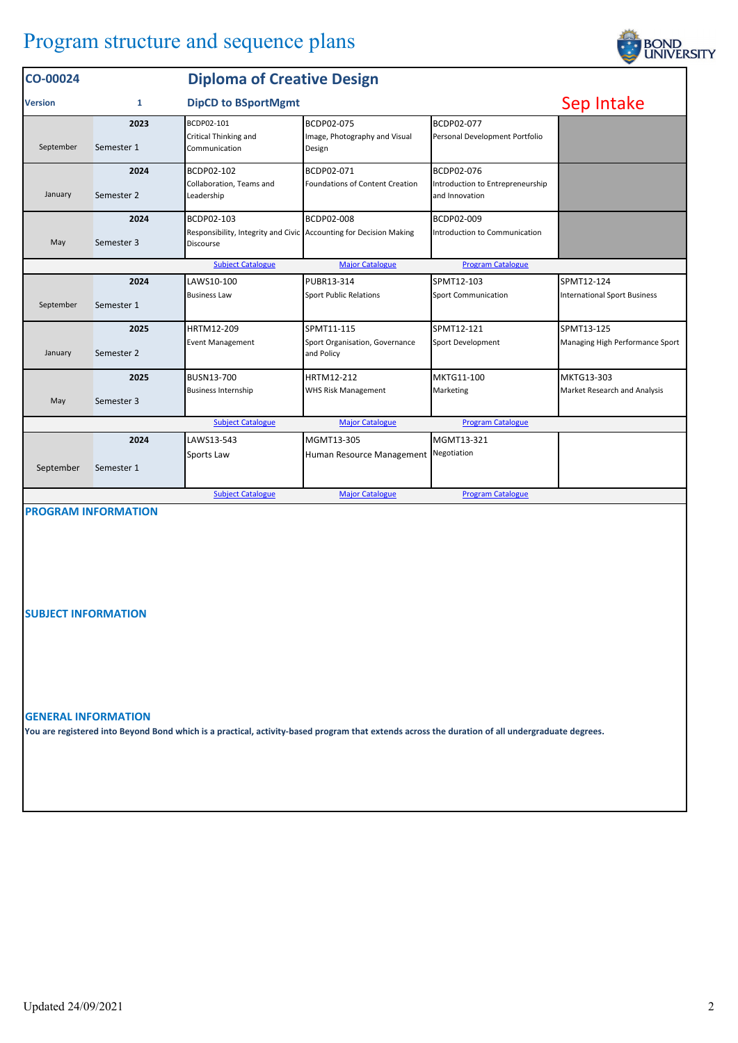## Program structure and sequence plans

| CO-00024                                                                       |                                                                                | <b>Diploma of Creative Design</b>                                               |                                              |                                                    |                                     |  |  |  |
|--------------------------------------------------------------------------------|--------------------------------------------------------------------------------|---------------------------------------------------------------------------------|----------------------------------------------|----------------------------------------------------|-------------------------------------|--|--|--|
| <b>Version</b>                                                                 | 1                                                                              | <b>DipCD to BSportMgmt</b>                                                      |                                              |                                                    | Sep Intake                          |  |  |  |
|                                                                                | 2023                                                                           | BCDP02-101                                                                      | BCDP02-075                                   | BCDP02-077                                         |                                     |  |  |  |
| September                                                                      | Semester 1                                                                     | Critical Thinking and<br>Communication                                          | Image, Photography and Visual<br>Design      | Personal Development Portfolio                     |                                     |  |  |  |
|                                                                                | 2024                                                                           | BCDP02-102                                                                      | BCDP02-071                                   | BCDP02-076                                         |                                     |  |  |  |
| January                                                                        | Semester 2                                                                     | Collaboration, Teams and<br>Leadership                                          | <b>Foundations of Content Creation</b>       | Introduction to Entrepreneurship<br>and Innovation |                                     |  |  |  |
|                                                                                | 2024                                                                           | BCDP02-103                                                                      | <b>BCDP02-008</b>                            | BCDP02-009                                         |                                     |  |  |  |
| May                                                                            | Semester 3                                                                     | Responsibility, Integrity and Civic Accounting for Decision Making<br>Discourse |                                              | Introduction to Communication                      |                                     |  |  |  |
|                                                                                | <b>Subject Catalogue</b><br><b>Major Catalogue</b><br><b>Program Catalogue</b> |                                                                                 |                                              |                                                    |                                     |  |  |  |
|                                                                                | 2024                                                                           | LAWS10-100                                                                      | PUBR13-314                                   | SPMT12-103                                         | SPMT12-124                          |  |  |  |
| September                                                                      | Semester 1                                                                     | <b>Business Law</b>                                                             | <b>Sport Public Relations</b>                | <b>Sport Communication</b>                         | <b>International Sport Business</b> |  |  |  |
|                                                                                | 2025                                                                           | HRTM12-209                                                                      | SPMT11-115                                   | SPMT12-121                                         | SPMT13-125                          |  |  |  |
| January                                                                        | Semester 2                                                                     | <b>Event Management</b>                                                         | Sport Organisation, Governance<br>and Policy | Sport Development                                  | Managing High Performance Sport     |  |  |  |
|                                                                                | 2025                                                                           | <b>BUSN13-700</b>                                                               | HRTM12-212                                   | MKTG11-100                                         | MKTG13-303                          |  |  |  |
| May                                                                            | Semester 3                                                                     | <b>Business Internship</b>                                                      | <b>WHS Risk Management</b>                   | Marketing                                          | Market Research and Analysis        |  |  |  |
| <b>Subject Catalogue</b><br><b>Major Catalogue</b><br><b>Program Catalogue</b> |                                                                                |                                                                                 |                                              |                                                    |                                     |  |  |  |
|                                                                                | 2024                                                                           | LAWS13-543                                                                      | MGMT13-305                                   | MGMT13-321                                         |                                     |  |  |  |
|                                                                                |                                                                                | Sports Law                                                                      | Human Resource Management Negotiation        |                                                    |                                     |  |  |  |
| September                                                                      | Semester 1                                                                     |                                                                                 |                                              |                                                    |                                     |  |  |  |
|                                                                                |                                                                                | <b>Subject Catalogue</b>                                                        | <b>Major Catalogue</b>                       | <b>Program Catalogue</b>                           |                                     |  |  |  |

## **PROGRAM INFORMATION**

**SUBJECT INFORMATION**

**GENERAL INFORMATION**

**You are registered into Beyond Bond which is a practical, activity-based program that extends across the duration of all undergraduate degrees.**